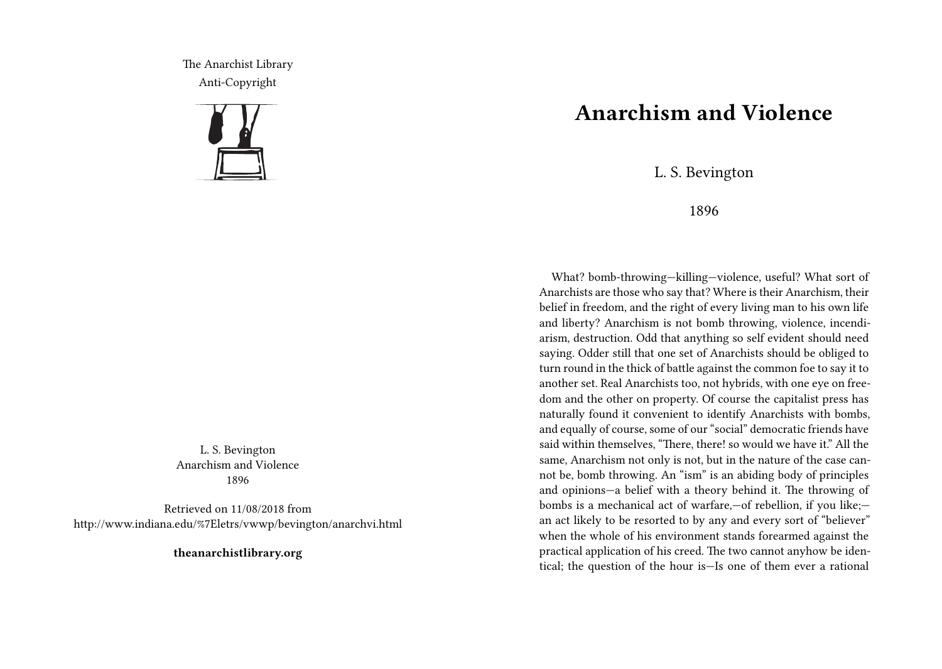The Anarchist Library Anti-Copyright



L. S. Bevington Anarchism and Violence 1896

Retrieved on 11/08/2018 from http://www.indiana.edu/%7Eletrs/vwwp/bevington/anarchvi.html

**theanarchistlibrary.org**

## **Anarchism and Violence**

L. S. Bevington

1896

What? bomb-throwing-killing-violence, useful? What sort of Anarchists are those who say that? Where is their Anarchism, their belief in freedom, and the right of every living man to his own life and liberty? Anarchism is not bomb throwing, violence, incendiarism, destruction. Odd that anything so self evident should need saying. Odder still that one set of Anarchists should be obliged to turn round in the thick of battle against the common foe to say it to another set. Real Anarchists too, not hybrids, with one eye on freedom and the other on property. Of course the capitalist press has naturally found it convenient to identify Anarchists with bombs, and equally of course, some of our "social" democratic friends have said within themselves, "There, there! so would we have it." All the same, Anarchism not only is not, but in the nature of the case cannot be, bomb throwing. An "ism" is an abiding body of principles and opinions—a belief with a theory behind it. The throwing of bombs is a mechanical act of warfare,—of rebellion, if you like; an act likely to be resorted to by any and every sort of "believer" when the whole of his environment stands forearmed against the practical application of his creed. The two cannot anyhow be identical; the question of the hour is—Is one of them ever a rational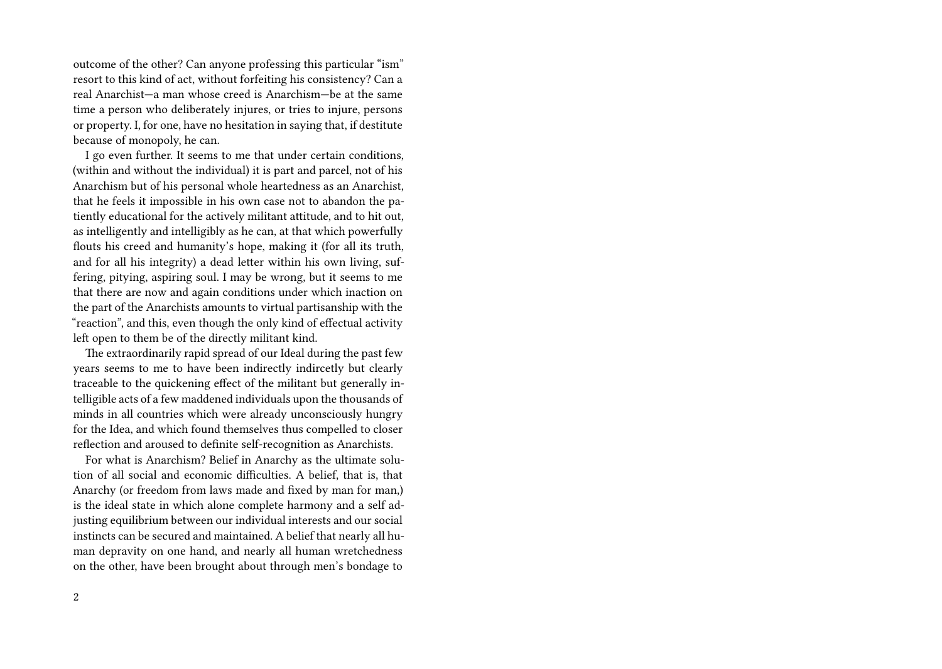outcome of the other? Can anyone professing this particular "ism" resort to this kind of act, without forfeiting his consistency? Can a real Anarchist—a man whose creed is Anarchism—be at the same time a person who deliberately injures, or tries to injure, persons or property. I, for one, have no hesitation in saying that, if destitute because of monopoly, he can.

I go even further. It seems to me that under certain conditions, (within and without the individual) it is part and parcel, not of his Anarchism but of his personal whole heartedness as an Anarchist, that he feels it impossible in his own case not to abandon the patiently educational for the actively militant attitude, and to hit out, as intelligently and intelligibly as he can, at that which powerfully flouts his creed and humanity's hope, making it (for all its truth, and for all his integrity) a dead letter within his own living, suffering, pitying, aspiring soul. I may be wrong, but it seems to me that there are now and again conditions under which inaction on the part of the Anarchists amounts to virtual partisanship with the "reaction", and this, even though the only kind of effectual activity left open to them be of the directly militant kind.

The extraordinarily rapid spread of our Ideal during the past few years seems to me to have been indirectly indircetly but clearly traceable to the quickening effect of the militant but generally intelligible acts of a few maddened individuals upon the thousands of minds in all countries which were already unconsciously hungry for the Idea, and which found themselves thus compelled to closer reflection and aroused to definite self‐recognition as Anarchists.

For what is Anarchism? Belief in Anarchy as the ultimate solution of all social and economic difficulties. A belief, that is, that Anarchy (or freedom from laws made and fixed by man for man,) is the ideal state in which alone complete harmony and a self adjusting equilibrium between our individual interests and our social instincts can be secured and maintained. A belief that nearly all human depravity on one hand, and nearly all human wretchedness on the other, have been brought about through men's bondage to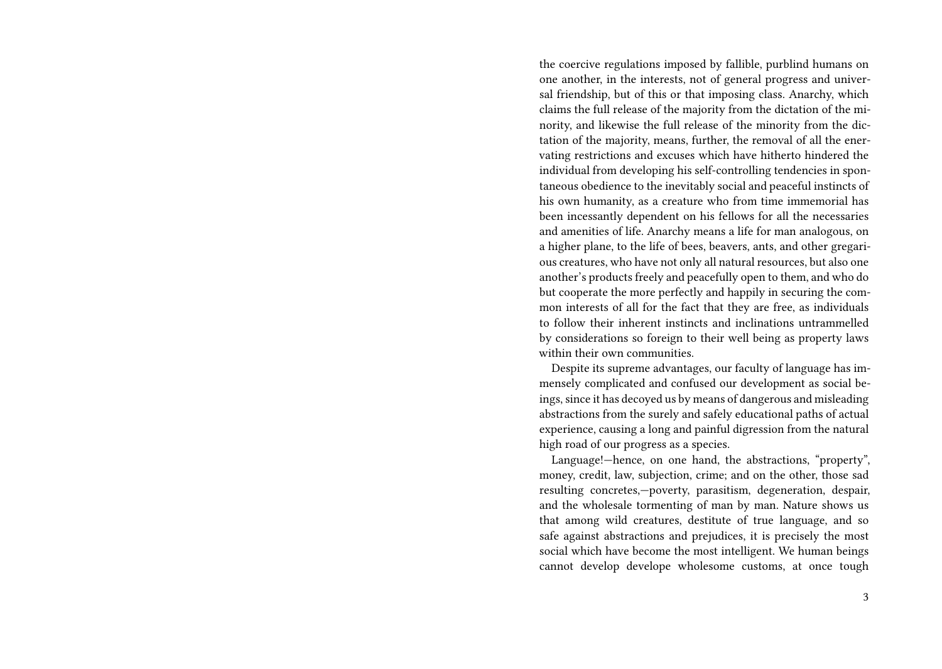the coercive regulations imposed by fallible, purblind humans on one another, in the interests, not of general progress and universal friendship, but of this or that imposing class. Anarchy, which claims the full release of the majority from the dictation of the minority, and likewise the full release of the minority from the dictation of the majority, means, further, the removal of all the enervating restrictions and excuses which have hitherto hindered the individual from developing his self‐controlling tendencies in spontaneous obedience to the inevitably social and peaceful instincts of his own humanity, as a creature who from time immemorial has been incessantly dependent on his fellows for all the necessaries and amenities of life. Anarchy means a life for man analogous, on a higher plane, to the life of bees, beavers, ants, and other gregarious creatures, who have not only all natural resources, but also one another's products freely and peacefully open to them, and who do but cooperate the more perfectly and happily in securing the common interests of all for the fact that they are free, as individuals to follow their inherent instincts and inclinations untrammelled by considerations so foreign to their well being as property laws within their own communities.

Despite its supreme advantages, our faculty of language has immensely complicated and confused our development as social beings, since it has decoyed us by means of dangerous and misleading abstractions from the surely and safely educational paths of actual experience, causing a long and painful digression from the natural high road of our progress as a species.

Language!—hence, on one hand, the abstractions, "property", money, credit, law, subjection, crime; and on the other, those sad resulting concretes,—poverty, parasitism, degeneration, despair, and the wholesale tormenting of man by man. Nature shows us that among wild creatures, destitute of true language, and so safe against abstractions and prejudices, it is precisely the most social which have become the most intelligent. We human beings cannot develop develope wholesome customs, at once tough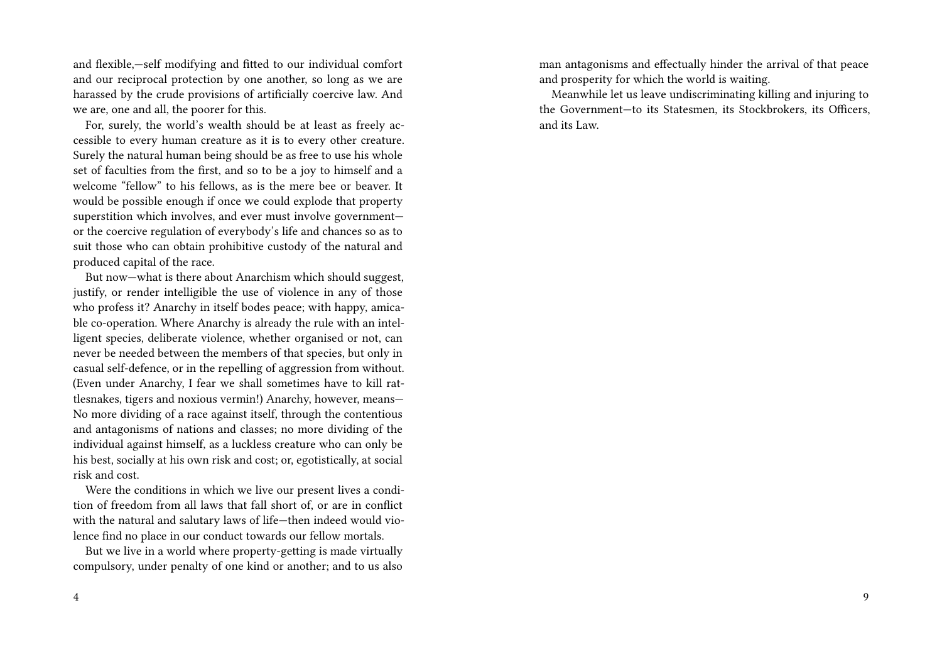and flexible,—self modifying and fitted to our individual comfort and our reciprocal protection by one another, so long as we are harassed by the crude provisions of artificially coercive law. And we are, one and all, the poorer for this.

For, surely, the world's wealth should be at least as freely accessible to every human creature as it is to every other creature. Surely the natural human being should be as free to use his whole set of faculties from the first, and so to be a joy to himself and a welcome "fellow" to his fellows, as is the mere bee or beaver. It would be possible enough if once we could explode that property superstition which involves, and ever must involve government or the coercive regulation of everybody's life and chances so as to suit those who can obtain prohibitive custody of the natural and produced capital of the race.

But now—what is there about Anarchism which should suggest, justify, or render intelligible the use of violence in any of those who profess it? Anarchy in itself bodes peace; with happy, amicable co-operation. Where Anarchy is already the rule with an intelligent species, deliberate violence, whether organised or not, can never be needed between the members of that species, but only in casual self‐defence, or in the repelling of aggression from without. (Even under Anarchy, I fear we shall sometimes have to kill rattlesnakes, tigers and noxious vermin!) Anarchy, however, means— No more dividing of a race against itself, through the contentious and antagonisms of nations and classes; no more dividing of the individual against himself, as a luckless creature who can only be his best, socially at his own risk and cost; or, egotistically, at social risk and cost.

Were the conditions in which we live our present lives a condition of freedom from all laws that fall short of, or are in conflict with the natural and salutary laws of life—then indeed would violence find no place in our conduct towards our fellow mortals.

But we live in a world where property‐getting is made virtually compulsory, under penalty of one kind or another; and to us also

man antagonisms and effectually hinder the arrival of that peace and prosperity for which the world is waiting.

Meanwhile let us leave undiscriminating killing and injuring to the Government—to its Statesmen, its Stockbrokers, its Officers, and its Law.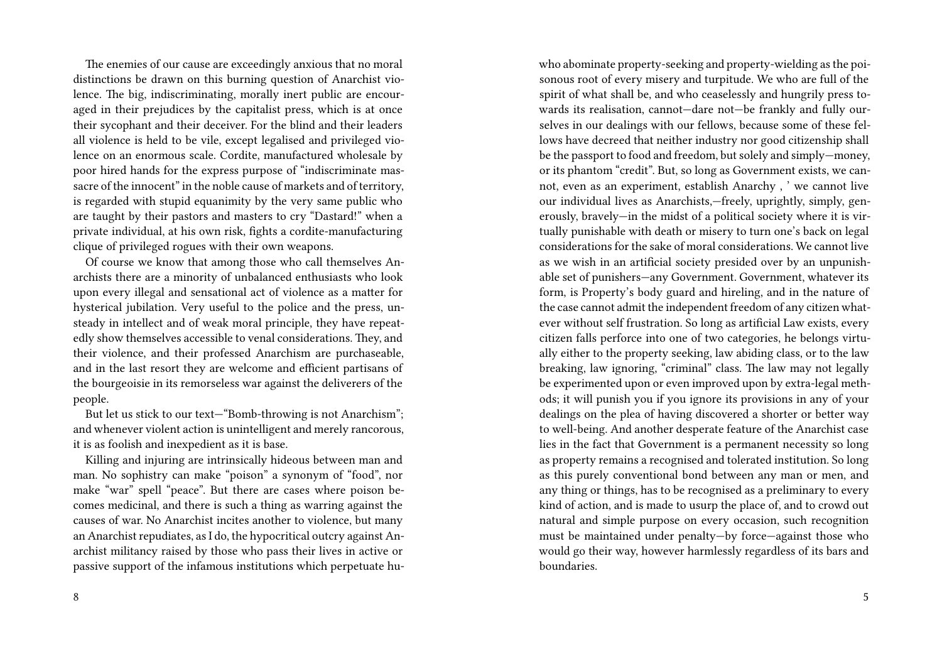The enemies of our cause are exceedingly anxious that no moral distinctions be drawn on this burning question of Anarchist violence. The big, indiscriminating, morally inert public are encouraged in their prejudices by the capitalist press, which is at once their sycophant and their deceiver. For the blind and their leaders all violence is held to be vile, except legalised and privileged violence on an enormous scale. Cordite, manufactured wholesale by poor hired hands for the express purpose of "indiscriminate massacre of the innocent" in the noble cause of markets and of territory, is regarded with stupid equanimity by the very same public who are taught by their pastors and masters to cry "Dastard!" when a private individual, at his own risk, fights a cordite‐manufacturing clique of privileged rogues with their own weapons.

Of course we know that among those who call themselves Anarchists there are a minority of unbalanced enthusiasts who look upon every illegal and sensational act of violence as a matter for hysterical jubilation. Very useful to the police and the press, unsteady in intellect and of weak moral principle, they have repeatedly show themselves accessible to venal considerations. They, and their violence, and their professed Anarchism are purchaseable, and in the last resort they are welcome and efficient partisans of the bourgeoisie in its remorseless war against the deliverers of the people.

But let us stick to our text—"Bomb‐throwing is not Anarchism"; and whenever violent action is unintelligent and merely rancorous, it is as foolish and inexpedient as it is base.

Killing and injuring are intrinsically hideous between man and man. No sophistry can make "poison" a synonym of "food", nor make "war" spell "peace". But there are cases where poison becomes medicinal, and there is such a thing as warring against the causes of war. No Anarchist incites another to violence, but many an Anarchist repudiates, as I do, the hypocritical outcry against Anarchist militancy raised by those who pass their lives in active or passive support of the infamous institutions which perpetuate hu-

8

who abominate property‐seeking and property‐wielding as the poisonous root of every misery and turpitude. We who are full of the spirit of what shall be, and who ceaselessly and hungrily press towards its realisation, cannot—dare not—be frankly and fully ourselves in our dealings with our fellows, because some of these fellows have decreed that neither industry nor good citizenship shall be the passport to food and freedom, but solely and simply—money, or its phantom "credit". But, so long as Government exists, we cannot, even as an experiment, establish Anarchy , ' we cannot live our individual lives as Anarchists,—freely, uprightly, simply, generously, bravely—in the midst of a political society where it is virtually punishable with death or misery to turn one's back on legal considerations for the sake of moral considerations. We cannot live as we wish in an artificial society presided over by an unpunishable set of punishers—any Government. Government, whatever its form, is Property's body guard and hireling, and in the nature of the case cannot admit the independent freedom of any citizen whatever without self frustration. So long as artificial Law exists, every citizen falls perforce into one of two categories, he belongs virtually either to the property seeking, law abiding class, or to the law breaking, law ignoring, "criminal" class. The law may not legally be experimented upon or even improved upon by extra‐legal methods; it will punish you if you ignore its provisions in any of your dealings on the plea of having discovered a shorter or better way to well‐being. And another desperate feature of the Anarchist case lies in the fact that Government is a permanent necessity so long as property remains a recognised and tolerated institution. So long as this purely conventional bond between any man or men, and any thing or things, has to be recognised as a preliminary to every kind of action, and is made to usurp the place of, and to crowd out natural and simple purpose on every occasion, such recognition must be maintained under penalty—by force—against those who would go their way, however harmlessly regardless of its bars and boundaries.